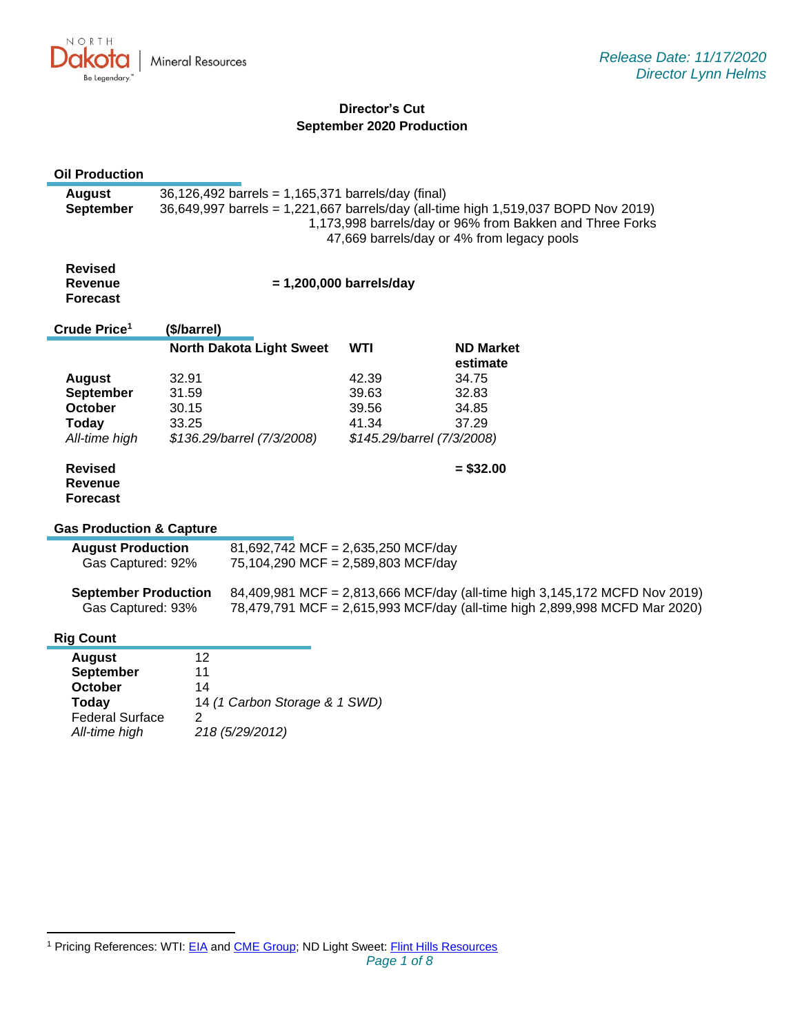

# **Director's Cut September 2020 Production**

| <b>Oil Production</b>                                                                                                     |                                                                                                                                                                                                                                                    |                                 |            |  |                                                                                                                                                          |
|---------------------------------------------------------------------------------------------------------------------------|----------------------------------------------------------------------------------------------------------------------------------------------------------------------------------------------------------------------------------------------------|---------------------------------|------------|--|----------------------------------------------------------------------------------------------------------------------------------------------------------|
| <b>August</b><br><b>September</b>                                                                                         | 36,126,492 barrels = 1,165,371 barrels/day (final)<br>36,649,997 barrels = 1,221,667 barrels/day (all-time high 1,519,037 BOPD Nov 2019)<br>1,173,998 barrels/day or 96% from Bakken and Three Forks<br>47,669 barrels/day or 4% from legacy pools |                                 |            |  |                                                                                                                                                          |
| <b>Revised</b><br>Revenue<br><b>Forecast</b>                                                                              | $= 1,200,000$ barrels/day                                                                                                                                                                                                                          |                                 |            |  |                                                                                                                                                          |
| Crude Price <sup>1</sup>                                                                                                  | (\$/barrel)                                                                                                                                                                                                                                        |                                 |            |  |                                                                                                                                                          |
|                                                                                                                           |                                                                                                                                                                                                                                                    | <b>North Dakota Light Sweet</b> | <b>WTI</b> |  | <b>ND Market</b><br>estimate                                                                                                                             |
| <b>August</b>                                                                                                             | 32.91                                                                                                                                                                                                                                              |                                 | 42.39      |  | 34.75                                                                                                                                                    |
| <b>September</b>                                                                                                          | 31.59                                                                                                                                                                                                                                              |                                 | 39.63      |  | 32.83                                                                                                                                                    |
| October                                                                                                                   | 30.15                                                                                                                                                                                                                                              |                                 | 39.56      |  | 34.85                                                                                                                                                    |
| Today                                                                                                                     | 33.25                                                                                                                                                                                                                                              |                                 | 41.34      |  | 37.29                                                                                                                                                    |
| All-time high                                                                                                             | \$136.29/barrel (7/3/2008)<br>\$145.29/barrel (7/3/2008)                                                                                                                                                                                           |                                 |            |  |                                                                                                                                                          |
| <b>Revised</b><br><b>Revenue</b><br><b>Forecast</b>                                                                       |                                                                                                                                                                                                                                                    |                                 |            |  | $= $32.00$                                                                                                                                               |
| <b>Gas Production &amp; Capture</b>                                                                                       |                                                                                                                                                                                                                                                    |                                 |            |  |                                                                                                                                                          |
| <b>August Production</b><br>81,692,742 MCF = 2,635,250 MCF/day<br>Gas Captured: 92%<br>75,104,290 MCF = 2,589,803 MCF/day |                                                                                                                                                                                                                                                    |                                 |            |  |                                                                                                                                                          |
| <b>September Production</b><br>Gas Captured: 93%                                                                          |                                                                                                                                                                                                                                                    |                                 |            |  | 84,409,981 MCF = 2,813,666 MCF/day (all-time high 3,145,172 MCFD Nov 2019)<br>78,479,791 MCF = 2,615,993 MCF/day (all-time high 2,899,998 MCFD Mar 2020) |
| <b>Rig Count</b>                                                                                                          |                                                                                                                                                                                                                                                    |                                 |            |  |                                                                                                                                                          |
| <b>August</b>                                                                                                             | 12                                                                                                                                                                                                                                                 |                                 |            |  |                                                                                                                                                          |
| <b>September</b>                                                                                                          | 11                                                                                                                                                                                                                                                 |                                 |            |  |                                                                                                                                                          |
| October                                                                                                                   | 14                                                                                                                                                                                                                                                 |                                 |            |  |                                                                                                                                                          |
| <b>Today</b>                                                                                                              | 14 (1 Carbon Storage & 1 SWD)                                                                                                                                                                                                                      |                                 |            |  |                                                                                                                                                          |
| <b>Federal Surface</b>                                                                                                    | $\overline{2}$                                                                                                                                                                                                                                     |                                 |            |  |                                                                                                                                                          |
| All-time high                                                                                                             |                                                                                                                                                                                                                                                    | 218 (5/29/2012)                 |            |  |                                                                                                                                                          |

<sup>&</sup>lt;sup>1</sup> Pricing References: WTI: [EIA](https://www.eia.gov/dnav/pet/hist/LeafHandler.ashx?n=PET&s=RCLC1&f=M) and [CME Group;](https://www.cmegroup.com/trading/energy/crude-oil/light-sweet-crude.html) ND Light Sweet: [Flint Hills Resources](https://www.fhr.com/products-services/fuels-and-aromatics)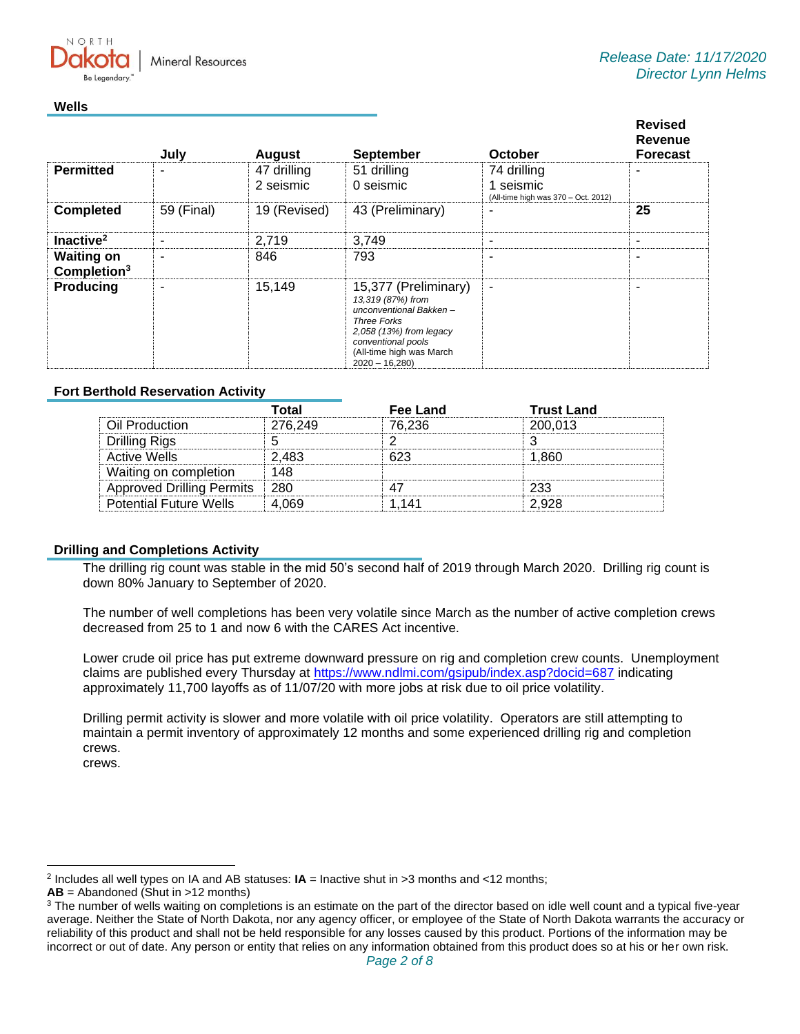**Mineral Resources** 

### **Wells**

 $N$   $\cap$   $R$   $T$   $\vdash$ 

|                                     | July                     | <b>August</b>            | <b>September</b>                                                                                                                                                                          | October                                                         | <b>Revised</b><br>Revenue<br><b>Forecast</b> |
|-------------------------------------|--------------------------|--------------------------|-------------------------------------------------------------------------------------------------------------------------------------------------------------------------------------------|-----------------------------------------------------------------|----------------------------------------------|
| <b>Permitted</b>                    | $\overline{\phantom{0}}$ | 47 drilling<br>2 seismic | 51 drilling<br>0 seismic                                                                                                                                                                  | 74 drilling<br>1 seismic<br>(All-time high was 370 - Oct. 2012) |                                              |
| <b>Completed</b>                    | 59 (Final)               | 19 (Revised)             | 43 (Preliminary)                                                                                                                                                                          | -                                                               | 25                                           |
| Inactive <sup>2</sup>               | $\overline{\phantom{a}}$ | 2,719                    | 3,749                                                                                                                                                                                     | ۰                                                               |                                              |
| <b>Waiting on</b><br>Completion $3$ |                          | 846                      | 793                                                                                                                                                                                       | -                                                               |                                              |
| <b>Producing</b>                    |                          | 15,149                   | 15,377 (Preliminary)<br>13,319 (87%) from<br>unconventional Bakken-<br><b>Three Forks</b><br>2,058 (13%) from legacy<br>conventional pools<br>(All-time high was March<br>$2020 - 16,280$ | ۰                                                               |                                              |

## **Fort Berthold Reservation Activity**

|                                  | Total   | <b>Fee Land</b> | <b>Trust Land</b> |
|----------------------------------|---------|-----------------|-------------------|
| Oil Production                   | 276.249 | 76.236          | 200.013           |
| Drilling Rigs                    |         |                 |                   |
| Active Wells                     | 2.483   |                 | 860               |
| Waiting on completion            | 148     |                 |                   |
| <b>Approved Drilling Permits</b> | -280    |                 | つつつ               |
| <b>Potential Future Wells</b>    | 069     | 14 <sup>1</sup> | 2 928             |

### **Drilling and Completions Activity**

The drilling rig count was stable in the mid 50's second half of 2019 through March 2020. Drilling rig count is down 80% January to September of 2020.

The number of well completions has been very volatile since March as the number of active completion crews decreased from 25 to 1 and now 6 with the CARES Act incentive.

Lower crude oil price has put extreme downward pressure on rig and completion crew counts. Unemployment claims are published every Thursday at [https://www.ndlmi.com/gsipub/index.asp?docid=687](https://gcc02.safelinks.protection.outlook.com/?url=https%3A%2F%2Fwww.ndlmi.com%2Fgsipub%2Findex.asp%3Fdocid%3D687&data=04%7C01%7Ckahaarsager%40nd.gov%7Ce2ac96c4eb124588da1c08d88b26cd9b%7C2dea0464da514a88bae2b3db94bc0c54%7C0%7C0%7C637412346058304686%7CUnknown%7CTWFpbGZsb3d8eyJWIjoiMC4wLjAwMDAiLCJQIjoiV2luMzIiLCJBTiI6Ik1haWwiLCJXVCI6Mn0%3D%7C1000&sdata=WaCHp%2BuydtDFogUFuJsFm%2B2YBTTaCymHkVpwvwOjaNs%3D&reserved=0) indicating approximately 11,700 layoffs as of 11/07/20 with more jobs at risk due to oil price volatility.

Drilling permit activity is slower and more volatile with oil price volatility. Operators are still attempting to maintain a permit inventory of approximately 12 months and some experienced drilling rig and completion crews. crews.

<sup>2</sup> Includes all well types on IA and AB statuses: **IA** = Inactive shut in >3 months and <12 months;

**AB** = Abandoned (Shut in >12 months)

<sup>&</sup>lt;sup>3</sup> The number of wells waiting on completions is an estimate on the part of the director based on idle well count and a typical five-year average. Neither the State of North Dakota, nor any agency officer, or employee of the State of North Dakota warrants the accuracy or reliability of this product and shall not be held responsible for any losses caused by this product. Portions of the information may be incorrect or out of date. Any person or entity that relies on any information obtained from this product does so at his or her own risk.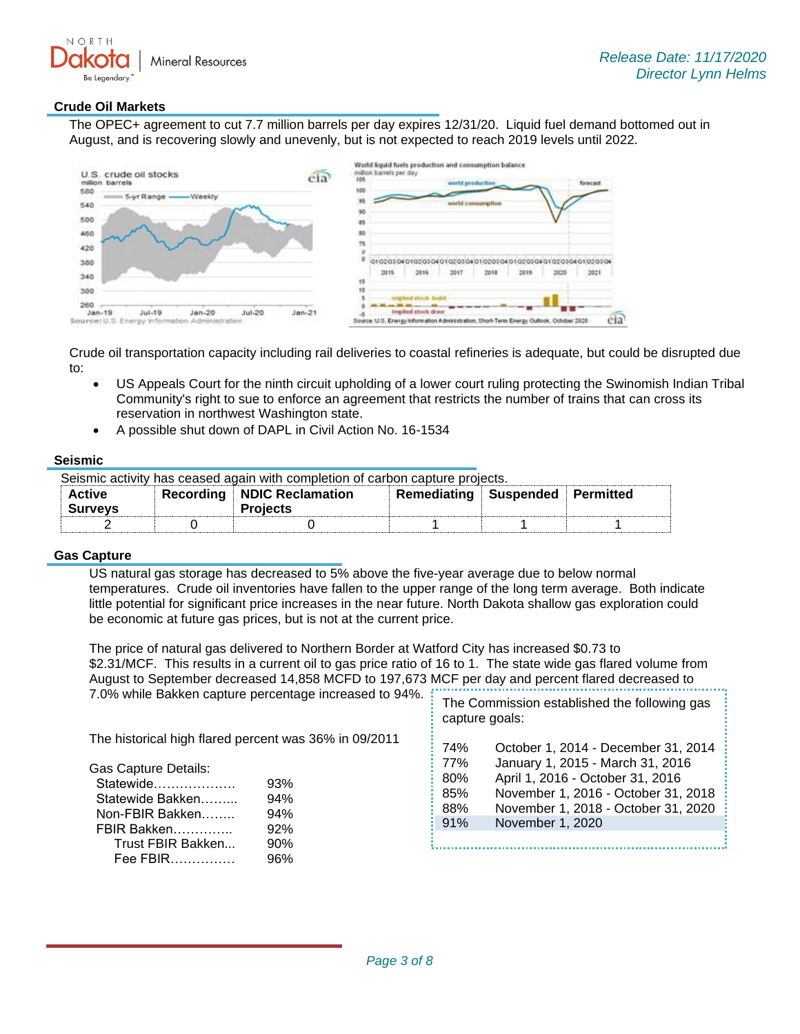

### **Crude Oil Markets**

The OPEC+ agreement to cut 7.7 million barrels per day expires 12/31/20. Liquid fuel demand bottomed out in August, and is recovering slowly and unevenly, but is not expected to reach 2019 levels until 2022.

| U.S. crude oil stocks<br>million barrels | eia      | million barrels per day<br>105<br>forecast<br>world peeduction |
|------------------------------------------|----------|----------------------------------------------------------------|
| 580<br>S-yr Range -<br>-Weekly<br>540    |          | 100<br>world consumption                                       |
| 500                                      |          | 90<br>85                                                       |
| 460                                      |          | 80                                                             |
| 420                                      |          | 75                                                             |
| 380                                      |          | 01020106010201060102010601020306010201060102010601020102010    |
| 340                                      |          | 2021<br>2015<br>2016<br>2019<br>2017<br>2018<br>2020<br>15     |
| 300                                      |          |                                                                |
| 260                                      | $Jul-20$ | implied stock draw                                             |

Crude oil transportation capacity including rail deliveries to coastal refineries is adequate, but could be disrupted due to:

- US Appeals Court for the ninth circuit upholding of a lower court ruling protecting the Swinomish Indian Tribal Community's right to sue to enforce an agreement that restricts the number of trains that can cross its reservation in northwest Washington state.
- A possible shut down of DAPL in Civil Action No. 16-1534

### **Seismic**

| Seismic activity has ceased again with completion of carbon capture projects. |  |                                               |                                        |  |  |
|-------------------------------------------------------------------------------|--|-----------------------------------------------|----------------------------------------|--|--|
| <b>Active</b>                                                                 |  | Recording NDIC Reclamation<br><b>Projects</b> | <b>Remediating Suspended Permitted</b> |  |  |
| <b>Surveys</b>                                                                |  |                                               |                                        |  |  |
|                                                                               |  |                                               |                                        |  |  |

### **Gas Capture**

US natural gas storage has decreased to 5% above the five-year average due to below normal temperatures. Crude oil inventories have fallen to the upper range of the long term average. Both indicate little potential for significant price increases in the near future. North Dakota shallow gas exploration could be economic at future gas prices, but is not at the current price.

The price of natural gas delivered to Northern Border at Watford City has increased \$0.73 to \$2.31/MCF. This results in a current oil to gas price ratio of 16 to 1. The state wide gas flared volume from August to September decreased 14,858 MCFD to 197,673 MCF per day and percent flared decreased to 7.0% while Bakken capture percentage increased to 94%. The Commission established the following gas

|                                                                                                                                                                                                                                    | capture goals:                         |                                                                                                                                                                                                               |
|------------------------------------------------------------------------------------------------------------------------------------------------------------------------------------------------------------------------------------|----------------------------------------|---------------------------------------------------------------------------------------------------------------------------------------------------------------------------------------------------------------|
| The historical high flared percent was 36% in 09/2011<br><b>Gas Capture Details:</b><br>Statewide<br>93%<br>Statewide Bakken<br>94%<br>94%<br>Non-FBIR Bakken<br>92%<br>FBIR Bakken<br>Trust FBIR Bakken<br>90%<br>Fee FBIR<br>96% | 74%<br>77%<br>80%<br>85%<br>88%<br>91% | October 1, 2014 - December 31, 2014<br>January 1, 2015 - March 31, 2016<br>April 1, 2016 - October 31, 2016<br>November 1, 2016 - October 31, 2018<br>November 1, 2018 - October 31, 2020<br>November 1, 2020 |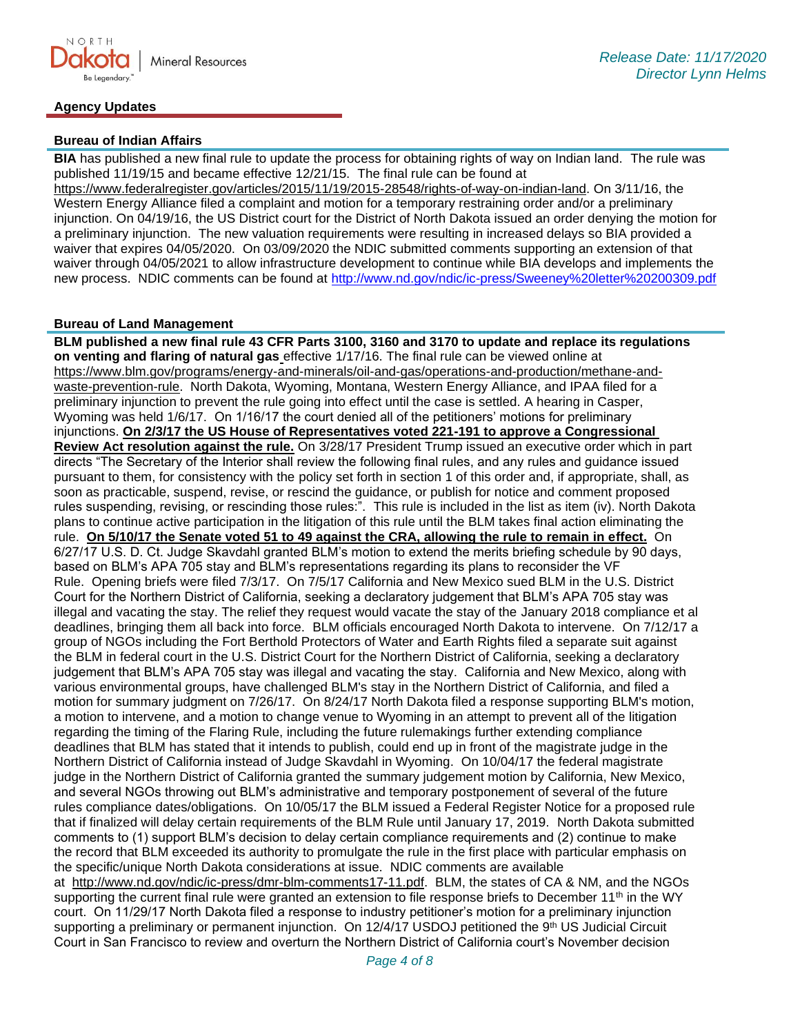

## **Agency Updates**

## **Bureau of Indian Affairs**

**BIA** has published a new final rule to update the process for obtaining rights of way on Indian land. The rule was published 11/19/15 and became effective 12/21/15. The final rule can be found at [https://www.federalregister.gov/articles/2015/11/19/2015-28548/rights-of-way-on-indian-land.](https://gcc02.safelinks.protection.outlook.com/?url=https%3A%2F%2Fwww.federalregister.gov%2Farticles%2F2015%2F11%2F19%2F2015-28548%2Frights-of-way-on-indian-land&data=04%7C01%7Ckahaarsager%40nd.gov%7Ce2ac96c4eb124588da1c08d88b26cd9b%7C2dea0464da514a88bae2b3db94bc0c54%7C0%7C0%7C637412346058314642%7CUnknown%7CTWFpbGZsb3d8eyJWIjoiMC4wLjAwMDAiLCJQIjoiV2luMzIiLCJBTiI6Ik1haWwiLCJXVCI6Mn0%3D%7C1000&sdata=jI9t2tGweMjlTA%2FS%2BqPs%2BGRAYWU7tFuCwnkdxZfR3fw%3D&reserved=0) On 3/11/16, the Western Energy Alliance filed a complaint and motion for a temporary restraining order and/or a preliminary injunction. On 04/19/16, the US District court for the District of North Dakota issued an order denying the motion for a preliminary injunction. The new valuation requirements were resulting in increased delays so BIA provided a waiver that expires 04/05/2020. On 03/09/2020 the NDIC submitted comments supporting an extension of that waiver through 04/05/2021 to allow infrastructure development to continue while BIA develops and implements the new process. NDIC comments can be found at<http://www.nd.gov/ndic/ic-press/Sweeney%20letter%20200309.pdf>

## **Bureau of Land Management**

**BLM published a new final rule 43 CFR Parts 3100, 3160 and 3170 to update and replace its regulations on venting and flaring of natural gas** effective 1/17/16. The final rule can be viewed online at [https://www.blm.gov/programs/energy-and-minerals/oil-and-gas/operations-and-production/methane-and](https://gcc02.safelinks.protection.outlook.com/?url=https%3A%2F%2Fwww.blm.gov%2Fprograms%2Fenergy-and-minerals%2Foil-and-gas%2Foperations-and-production%2Fmethane-and-waste-prevention-rule&data=04%7C01%7Ckahaarsager%40nd.gov%7Ce2ac96c4eb124588da1c08d88b26cd9b%7C2dea0464da514a88bae2b3db94bc0c54%7C0%7C0%7C637412346058314642%7CUnknown%7CTWFpbGZsb3d8eyJWIjoiMC4wLjAwMDAiLCJQIjoiV2luMzIiLCJBTiI6Ik1haWwiLCJXVCI6Mn0%3D%7C1000&sdata=KXgIFJXdSFBFqDhpBq7ToLk082zmNIhI%2FoNx8cxPyRs%3D&reserved=0)[waste-prevention-rule.](https://gcc02.safelinks.protection.outlook.com/?url=https%3A%2F%2Fwww.blm.gov%2Fprograms%2Fenergy-and-minerals%2Foil-and-gas%2Foperations-and-production%2Fmethane-and-waste-prevention-rule&data=04%7C01%7Ckahaarsager%40nd.gov%7Ce2ac96c4eb124588da1c08d88b26cd9b%7C2dea0464da514a88bae2b3db94bc0c54%7C0%7C0%7C637412346058314642%7CUnknown%7CTWFpbGZsb3d8eyJWIjoiMC4wLjAwMDAiLCJQIjoiV2luMzIiLCJBTiI6Ik1haWwiLCJXVCI6Mn0%3D%7C1000&sdata=KXgIFJXdSFBFqDhpBq7ToLk082zmNIhI%2FoNx8cxPyRs%3D&reserved=0) North Dakota, Wyoming, Montana, Western Energy Alliance, and IPAA filed for a preliminary injunction to prevent the rule going into effect until the case is settled. A hearing in Casper, Wyoming was held 1/6/17. On 1/16/17 the court denied all of the petitioners' motions for preliminary injunctions. **On 2/3/17 the US House of Representatives voted 221-191 to approve a Congressional Review Act resolution against the rule.** On 3/28/17 President Trump issued an executive order which in part directs "The Secretary of the Interior shall review the following final rules, and any rules and guidance issued pursuant to them, for consistency with the policy set forth in section 1 of this order and, if appropriate, shall, as soon as practicable, suspend, revise, or rescind the guidance, or publish for notice and comment proposed rules suspending, revising, or rescinding those rules:". This rule is included in the list as item (iv). North Dakota plans to continue active participation in the litigation of this rule until the BLM takes final action eliminating the rule. **On 5/10/17 the Senate voted 51 to 49 against the CRA, allowing the rule to remain in effect.** On 6/27/17 U.S. D. Ct. Judge Skavdahl granted BLM's motion to extend the merits briefing schedule by 90 days, based on BLM's APA 705 stay and BLM's representations regarding its plans to reconsider the VF Rule. Opening briefs were filed 7/3/17. On 7/5/17 California and New Mexico sued BLM in the U.S. District Court for the Northern District of California, seeking a declaratory judgement that BLM's APA 705 stay was illegal and vacating the stay. The relief they request would vacate the stay of the January 2018 compliance et al deadlines, bringing them all back into force. BLM officials encouraged North Dakota to intervene. On 7/12/17 a group of NGOs including the Fort Berthold Protectors of Water and Earth Rights filed a separate suit against the BLM in federal court in the U.S. District Court for the Northern District of California, seeking a declaratory judgement that BLM's APA 705 stay was illegal and vacating the stay. California and New Mexico, along with various environmental groups, have challenged BLM's stay in the Northern District of California, and filed a motion for summary judgment on 7/26/17. On 8/24/17 North Dakota filed a response supporting BLM's motion, a motion to intervene, and a motion to change venue to Wyoming in an attempt to prevent all of the litigation regarding the timing of the Flaring Rule, including the future rulemakings further extending compliance deadlines that BLM has stated that it intends to publish, could end up in front of the magistrate judge in the Northern District of California instead of Judge Skavdahl in Wyoming. On 10/04/17 the federal magistrate judge in the Northern District of California granted the summary judgement motion by California, New Mexico, and several NGOs throwing out BLM's administrative and temporary postponement of several of the future rules compliance dates/obligations. On 10/05/17 the BLM issued a Federal Register Notice for a proposed rule that if finalized will delay certain requirements of the BLM Rule until January 17, 2019. North Dakota submitted comments to (1) support BLM's decision to delay certain compliance requirements and (2) continue to make the record that BLM exceeded its authority to promulgate the rule in the first place with particular emphasis on the specific/unique North Dakota considerations at issue. NDIC comments are available at [http://www.nd.gov/ndic/ic-press/dmr-blm-comments17-11.pdf.](http://www.nd.gov/ndic/ic-press/dmr-blm-comments17-11.pdf) BLM, the states of CA & NM, and the NGOs supporting the current final rule were granted an extension to file response briefs to December 11<sup>th</sup> in the WY court. On 11/29/17 North Dakota filed a response to industry petitioner's motion for a preliminary injunction supporting a preliminary or permanent injunction. On 12/4/17 USDOJ petitioned the 9th US Judicial Circuit

Court in San Francisco to review and overturn the Northern District of California court's November decision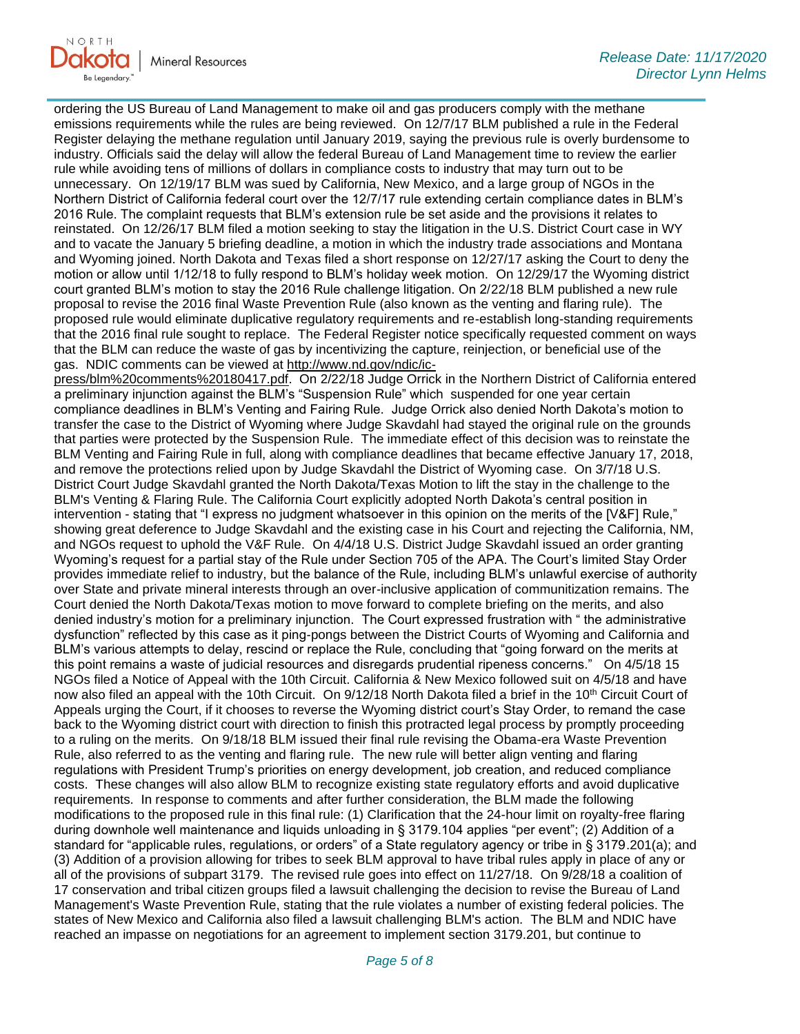

ordering the US Bureau of Land Management to make oil and gas producers comply with the methane emissions requirements while the rules are being reviewed. On 12/7/17 BLM published a rule in the Federal Register delaying the methane regulation until January 2019, saying the previous rule is overly burdensome to industry. Officials said the delay will allow the federal Bureau of Land Management time to review the earlier rule while avoiding tens of millions of dollars in compliance costs to industry that may turn out to be unnecessary. On 12/19/17 BLM was sued by California, New Mexico, and a large group of NGOs in the Northern District of California federal court over the 12/7/17 rule extending certain compliance dates in BLM's 2016 Rule. The complaint requests that BLM's extension rule be set aside and the provisions it relates to reinstated. On 12/26/17 BLM filed a motion seeking to stay the litigation in the U.S. District Court case in WY and to vacate the January 5 briefing deadline, a motion in which the industry trade associations and Montana and Wyoming joined. North Dakota and Texas filed a short response on 12/27/17 asking the Court to deny the motion or allow until 1/12/18 to fully respond to BLM's holiday week motion. On 12/29/17 the Wyoming district court granted BLM's motion to stay the 2016 Rule challenge litigation. On 2/22/18 BLM published a new rule proposal to revise the 2016 final Waste Prevention Rule (also known as the venting and flaring rule). The proposed rule would eliminate duplicative regulatory requirements and re-establish long-standing requirements that the 2016 final rule sought to replace. The Federal Register notice specifically requested comment on ways that the BLM can reduce the waste of gas by incentivizing the capture, reinjection, or beneficial use of the gas. NDIC comments can be viewed at [http://www.nd.gov/ndic/ic-](http://www.nd.gov/ndic/ic-press/blm%20comments%20180417.pdf)

[press/blm%20comments%20180417.pdf.](http://www.nd.gov/ndic/ic-press/blm%20comments%20180417.pdf) On 2/22/18 Judge Orrick in the Northern District of California entered a preliminary injunction against the BLM's "Suspension Rule" which suspended for one year certain compliance deadlines in BLM's Venting and Fairing Rule. Judge Orrick also denied North Dakota's motion to transfer the case to the District of Wyoming where Judge Skavdahl had stayed the original rule on the grounds that parties were protected by the Suspension Rule. The immediate effect of this decision was to reinstate the BLM Venting and Fairing Rule in full, along with compliance deadlines that became effective January 17, 2018, and remove the protections relied upon by Judge Skavdahl the District of Wyoming case. On 3/7/18 U.S. District Court Judge Skavdahl granted the North Dakota/Texas Motion to lift the stay in the challenge to the BLM's Venting & Flaring Rule. The California Court explicitly adopted North Dakota's central position in intervention - stating that "I express no judgment whatsoever in this opinion on the merits of the [V&F] Rule," showing great deference to Judge Skavdahl and the existing case in his Court and rejecting the California, NM, and NGOs request to uphold the V&F Rule. On 4/4/18 U.S. District Judge Skavdahl issued an order granting Wyoming's request for a partial stay of the Rule under Section 705 of the APA. The Court's limited Stay Order provides immediate relief to industry, but the balance of the Rule, including BLM's unlawful exercise of authority over State and private mineral interests through an over-inclusive application of communitization remains. The Court denied the North Dakota/Texas motion to move forward to complete briefing on the merits, and also denied industry's motion for a preliminary injunction. The Court expressed frustration with " the administrative dysfunction" reflected by this case as it ping-pongs between the District Courts of Wyoming and California and BLM's various attempts to delay, rescind or replace the Rule, concluding that "going forward on the merits at this point remains a waste of judicial resources and disregards prudential ripeness concerns." On 4/5/18 15 NGOs filed a Notice of Appeal with the 10th Circuit. California & New Mexico followed suit on 4/5/18 and have now also filed an appeal with the 10th Circuit. On 9/12/18 North Dakota filed a brief in the 10<sup>th</sup> Circuit Court of Appeals urging the Court, if it chooses to reverse the Wyoming district court's Stay Order, to remand the case back to the Wyoming district court with direction to finish this protracted legal process by promptly proceeding to a ruling on the merits. On 9/18/18 BLM issued their final rule revising the Obama-era Waste Prevention Rule, also referred to as the venting and flaring rule. The new rule will better align venting and flaring regulations with President Trump's priorities on energy development, job creation, and reduced compliance costs. These changes will also allow BLM to recognize existing state regulatory efforts and avoid duplicative requirements. In response to comments and after further consideration, the BLM made the following modifications to the proposed rule in this final rule: (1) Clarification that the 24-hour limit on royalty-free flaring during downhole well maintenance and liquids unloading in § 3179.104 applies "per event"; (2) Addition of a standard for "applicable rules, regulations, or orders" of a State regulatory agency or tribe in § 3179.201(a); and (3) Addition of a provision allowing for tribes to seek BLM approval to have tribal rules apply in place of any or all of the provisions of subpart 3179. The revised rule goes into effect on 11/27/18. On 9/28/18 a coalition of 17 conservation and tribal citizen groups filed a lawsuit challenging the decision to revise the Bureau of Land Management's Waste Prevention Rule, stating that the rule violates a number of existing federal policies. The states of New Mexico and California also filed a lawsuit challenging BLM's action. The BLM and NDIC have reached an impasse on negotiations for an agreement to implement section 3179.201, but continue to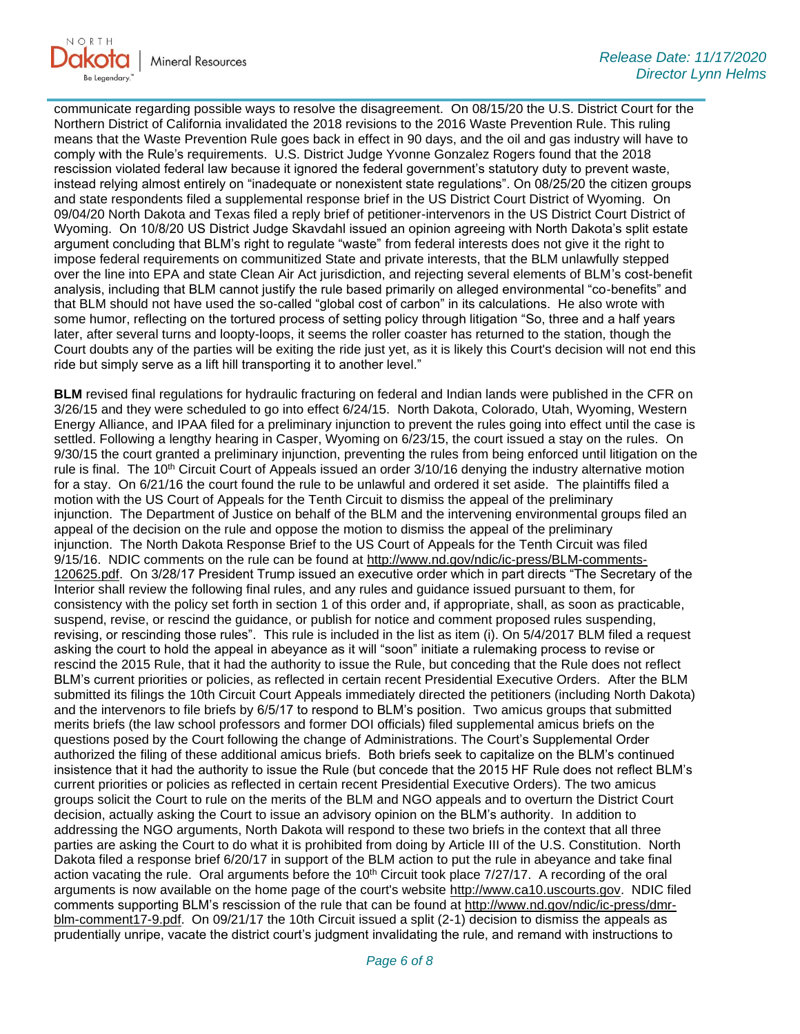

communicate regarding possible ways to resolve the disagreement. On 08/15/20 the U.S. District Court for the Northern District of California invalidated the 2018 revisions to the 2016 Waste Prevention Rule. This ruling means that the Waste Prevention Rule goes back in effect in 90 days, and the oil and gas industry will have to comply with the Rule's requirements. U.S. District Judge Yvonne Gonzalez Rogers found that the 2018 rescission violated federal law because it ignored the federal government's statutory duty to prevent waste, instead relying almost entirely on "inadequate or nonexistent state regulations". On 08/25/20 the citizen groups and state respondents filed a supplemental response brief in the US District Court District of Wyoming. On 09/04/20 North Dakota and Texas filed a reply brief of petitioner-intervenors in the US District Court District of Wyoming. On 10/8/20 US District Judge Skavdahl issued an opinion agreeing with North Dakota's split estate argument concluding that BLM's right to regulate "waste" from federal interests does not give it the right to impose federal requirements on communitized State and private interests, that the BLM unlawfully stepped over the line into EPA and state Clean Air Act jurisdiction, and rejecting several elements of BLM's cost-benefit analysis, including that BLM cannot justify the rule based primarily on alleged environmental "co-benefits" and that BLM should not have used the so-called "global cost of carbon" in its calculations. He also wrote with some humor, reflecting on the tortured process of setting policy through litigation "So, three and a half years later, after several turns and loopty-loops, it seems the roller coaster has returned to the station, though the Court doubts any of the parties will be exiting the ride just yet, as it is likely this Court's decision will not end this ride but simply serve as a lift hill transporting it to another level."

**BLM** revised final regulations for hydraulic fracturing on federal and Indian lands were published in the CFR on 3/26/15 and they were scheduled to go into effect 6/24/15. North Dakota, Colorado, Utah, Wyoming, Western Energy Alliance, and IPAA filed for a preliminary injunction to prevent the rules going into effect until the case is settled. Following a lengthy hearing in Casper, Wyoming on 6/23/15, the court issued a stay on the rules. On 9/30/15 the court granted a preliminary injunction, preventing the rules from being enforced until litigation on the rule is final. The 10<sup>th</sup> Circuit Court of Appeals issued an order 3/10/16 denying the industry alternative motion for a stay. On 6/21/16 the court found the rule to be unlawful and ordered it set aside. The plaintiffs filed a motion with the US Court of Appeals for the Tenth Circuit to dismiss the appeal of the preliminary injunction. The Department of Justice on behalf of the BLM and the intervening environmental groups filed an appeal of the decision on the rule and oppose the motion to dismiss the appeal of the preliminary injunction. The North Dakota Response Brief to the US Court of Appeals for the Tenth Circuit was filed 9/15/16. NDIC comments on the rule can be found at [http://www.nd.gov/ndic/ic-press/BLM-comments-](http://www.nd.gov/ndic/ic-press/BLM-comments-120625.pdf)[120625.pdf.](http://www.nd.gov/ndic/ic-press/BLM-comments-120625.pdf) On 3/28/17 President Trump issued an executive order which in part directs "The Secretary of the Interior shall review the following final rules, and any rules and guidance issued pursuant to them, for consistency with the policy set forth in section 1 of this order and, if appropriate, shall, as soon as practicable, suspend, revise, or rescind the guidance, or publish for notice and comment proposed rules suspending, revising, or rescinding those rules". This rule is included in the list as item (i). On 5/4/2017 BLM filed a request asking the court to hold the appeal in abeyance as it will "soon" initiate a rulemaking process to revise or rescind the 2015 Rule, that it had the authority to issue the Rule, but conceding that the Rule does not reflect BLM's current priorities or policies, as reflected in certain recent Presidential Executive Orders. After the BLM submitted its filings the 10th Circuit Court Appeals immediately directed the petitioners (including North Dakota) and the intervenors to file briefs by 6/5/17 to respond to BLM's position. Two amicus groups that submitted merits briefs (the law school professors and former DOI officials) filed supplemental amicus briefs on the questions posed by the Court following the change of Administrations. The Court's Supplemental Order authorized the filing of these additional amicus briefs. Both briefs seek to capitalize on the BLM's continued insistence that it had the authority to issue the Rule (but concede that the 2015 HF Rule does not reflect BLM's current priorities or policies as reflected in certain recent Presidential Executive Orders). The two amicus groups solicit the Court to rule on the merits of the BLM and NGO appeals and to overturn the District Court decision, actually asking the Court to issue an advisory opinion on the BLM's authority. In addition to addressing the NGO arguments, North Dakota will respond to these two briefs in the context that all three parties are asking the Court to do what it is prohibited from doing by Article III of the U.S. Constitution. North Dakota filed a response brief 6/20/17 in support of the BLM action to put the rule in abeyance and take final action vacating the rule. Oral arguments before the  $10<sup>th</sup>$  Circuit took place  $7/27/17$ . A recording of the oral arguments is now available on the home page of the court's website [http://www.ca10.uscourts.gov.](https://gcc02.safelinks.protection.outlook.com/?url=https%3A%2F%2Furldefense.proofpoint.com%2Fv2%2Furl%3Fu%3Dhttp-3A__www.ca10.uscourts.gov%26d%3DDwMGaQ%26c%3D2s2mvbfY0UoSKkl6_Ol9wg%26r%3D-wqsZnBxny594KY8HeElow%26m%3DUl_VtJUX6iW5pvHjCcBxUWtskC0F4Dhry3sPtcEHvCw%26s%3DlaRHiLDv5w8otcQWQjpn82WMieoB2AZ-Q4M1LFQPL5s%26e%3D&data=04%7C01%7Ckahaarsager%40nd.gov%7Ce2ac96c4eb124588da1c08d88b26cd9b%7C2dea0464da514a88bae2b3db94bc0c54%7C0%7C0%7C637412346058324659%7CUnknown%7CTWFpbGZsb3d8eyJWIjoiMC4wLjAwMDAiLCJQIjoiV2luMzIiLCJBTiI6Ik1haWwiLCJXVCI6Mn0%3D%7C1000&sdata=yhkP4ov9E5ALLOcPcgiCjLAKaliEs%2FkCXwmKTCYpF08%3D&reserved=0) NDIC filed comments supporting BLM's rescission of the rule that can be found at [http://www.nd.gov/ndic/ic-press/dmr](http://www.nd.gov/ndic/ic-press/dmr-blm-comment17-9.pdf)[blm-comment17-9.pdf.](http://www.nd.gov/ndic/ic-press/dmr-blm-comment17-9.pdf) On 09/21/17 the 10th Circuit issued a split (2-1) decision to dismiss the appeals as prudentially unripe, vacate the district court's judgment invalidating the rule, and remand with instructions to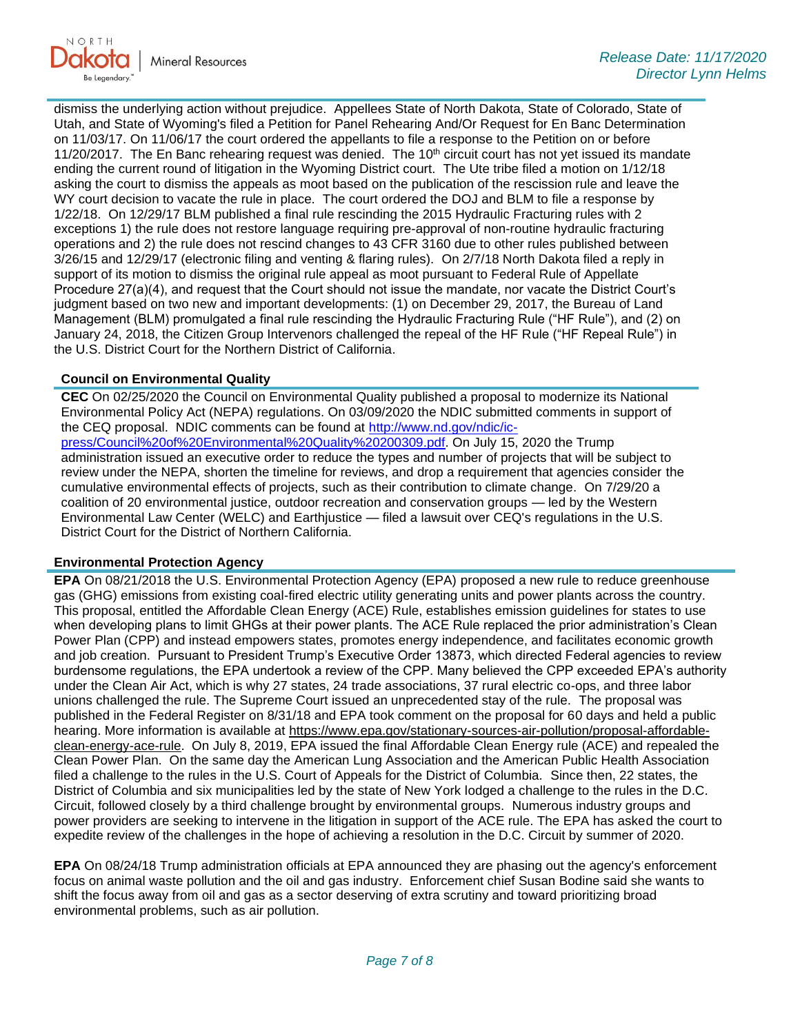

dismiss the underlying action without prejudice. Appellees State of North Dakota, State of Colorado, State of Utah, and State of Wyoming's filed a Petition for Panel Rehearing And/Or Request for En Banc Determination on 11/03/17. On 11/06/17 the court ordered the appellants to file a response to the Petition on or before 11/20/2017. The En Banc rehearing request was denied. The  $10<sup>th</sup>$  circuit court has not yet issued its mandate ending the current round of litigation in the Wyoming District court. The Ute tribe filed a motion on 1/12/18 asking the court to dismiss the appeals as moot based on the publication of the rescission rule and leave the WY court decision to vacate the rule in place. The court ordered the DOJ and BLM to file a response by 1/22/18. On 12/29/17 BLM published a final rule rescinding the 2015 Hydraulic Fracturing rules with 2 exceptions 1) the rule does not restore language requiring pre-approval of non-routine hydraulic fracturing operations and 2) the rule does not rescind changes to 43 CFR 3160 due to other rules published between 3/26/15 and 12/29/17 (electronic filing and venting & flaring rules). On 2/7/18 North Dakota filed a reply in support of its motion to dismiss the original rule appeal as moot pursuant to Federal Rule of Appellate Procedure 27(a)(4), and request that the Court should not issue the mandate, nor vacate the District Court's judgment based on two new and important developments: (1) on December 29, 2017, the Bureau of Land Management (BLM) promulgated a final rule rescinding the Hydraulic Fracturing Rule ("HF Rule"), and (2) on January 24, 2018, the Citizen Group Intervenors challenged the repeal of the HF Rule ("HF Repeal Rule") in the U.S. District Court for the Northern District of California.

### **Council on Environmental Quality**

**CEC** On 02/25/2020 the Council on Environmental Quality published a proposal to modernize its National Environmental Policy Act (NEPA) regulations. On 03/09/2020 the NDIC submitted comments in support of the CEQ proposal. NDIC comments can be found at [http://www.nd.gov/ndic/ic](http://www.nd.gov/ndic/ic-press/Council%20of%20Environmental%20Quality%20200309.pdf)[press/Council%20of%20Environmental%20Quality%20200309.pdf.](http://www.nd.gov/ndic/ic-press/Council%20of%20Environmental%20Quality%20200309.pdf) On July 15, 2020 the Trump administration issued an executive order to reduce the types and number of projects that will be subject to review under the NEPA, shorten the timeline for reviews, and drop a requirement that agencies consider the cumulative environmental effects of projects, such as their contribution to climate change. On 7/29/20 a coalition of 20 environmental justice, outdoor recreation and conservation groups — led by the Western Environmental Law Center (WELC) and Earthjustice — filed a lawsuit over CEQ's regulations in the U.S. District Court for the District of Northern California.

### **Environmental Protection Agency**

**EPA** On 08/21/2018 the U.S. Environmental Protection Agency (EPA) proposed a new rule to reduce greenhouse gas (GHG) emissions from existing coal-fired electric utility generating units and power plants across the country. This proposal, entitled the Affordable Clean Energy (ACE) Rule, establishes emission guidelines for states to use when developing plans to limit GHGs at their power plants. The ACE Rule replaced the prior administration's Clean Power Plan (CPP) and instead empowers states, promotes energy independence, and facilitates economic growth and job creation. Pursuant to President Trump's Executive Order 13873, which directed Federal agencies to review burdensome regulations, the EPA undertook a review of the CPP. Many believed the CPP exceeded EPA's authority under the Clean Air Act, which is why 27 states, 24 trade associations, 37 rural electric co-ops, and three labor unions challenged the rule. The Supreme Court issued an unprecedented stay of the rule. The proposal was published in the Federal Register on 8/31/18 and EPA took comment on the proposal for 60 days and held a public hearing. More information is available at [https://www.epa.gov/stationary-sources-air-pollution/proposal-affordable](https://gcc02.safelinks.protection.outlook.com/?url=https%3A%2F%2Fwww.epa.gov%2Fstationary-sources-air-pollution%2Fproposal-affordable-clean-energy-ace-rule&data=04%7C01%7Ckahaarsager%40nd.gov%7Ce2ac96c4eb124588da1c08d88b26cd9b%7C2dea0464da514a88bae2b3db94bc0c54%7C0%7C0%7C637412346058324659%7CUnknown%7CTWFpbGZsb3d8eyJWIjoiMC4wLjAwMDAiLCJQIjoiV2luMzIiLCJBTiI6Ik1haWwiLCJXVCI6Mn0%3D%7C1000&sdata=HB3fDitNZfZAF4Kh0aDrMq5PfQxIStH1MKv4dH7eAFM%3D&reserved=0)[clean-energy-ace-rule.](https://gcc02.safelinks.protection.outlook.com/?url=https%3A%2F%2Fwww.epa.gov%2Fstationary-sources-air-pollution%2Fproposal-affordable-clean-energy-ace-rule&data=04%7C01%7Ckahaarsager%40nd.gov%7Ce2ac96c4eb124588da1c08d88b26cd9b%7C2dea0464da514a88bae2b3db94bc0c54%7C0%7C0%7C637412346058324659%7CUnknown%7CTWFpbGZsb3d8eyJWIjoiMC4wLjAwMDAiLCJQIjoiV2luMzIiLCJBTiI6Ik1haWwiLCJXVCI6Mn0%3D%7C1000&sdata=HB3fDitNZfZAF4Kh0aDrMq5PfQxIStH1MKv4dH7eAFM%3D&reserved=0) On July 8, 2019, EPA issued the final Affordable Clean Energy rule (ACE) and repealed the Clean Power Plan. On the same day the American Lung Association and the American Public Health Association filed a challenge to the rules in the U.S. Court of Appeals for the District of Columbia. Since then, 22 states, the District of Columbia and six municipalities led by the state of New York lodged a challenge to the rules in the D.C. Circuit, followed closely by a third challenge brought by environmental groups. Numerous industry groups and power providers are seeking to intervene in the litigation in support of the ACE rule. The EPA has asked the court to expedite review of the challenges in the hope of achieving a resolution in the D.C. Circuit by summer of 2020.

**EPA** On 08/24/18 Trump administration officials at EPA announced they are phasing out the agency's enforcement focus on animal waste pollution and the oil and gas industry. Enforcement chief Susan Bodine said she wants to shift the focus away from oil and gas as a sector deserving of extra scrutiny and toward prioritizing broad environmental problems, such as air pollution.